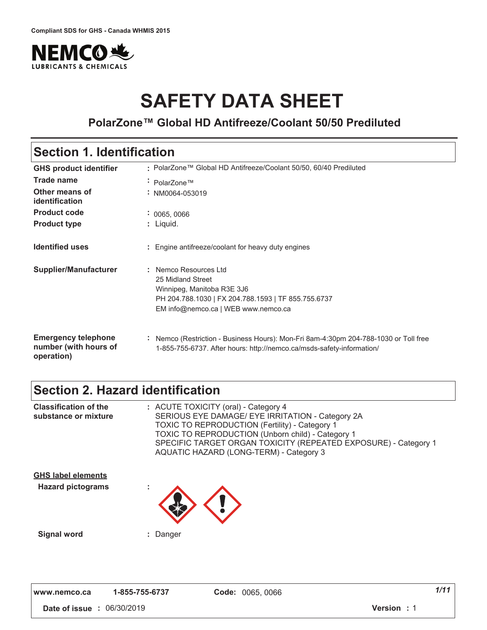

# **SAFETY DATA SHEET**

### **PolarZone™ Global HD Antifreeze/Coolant 50/50 Prediluted**

### **Section 1. Identification**

| <b>GHS product identifier</b>                                     | : PolarZone™ Global HD Antifreeze/Coolant 50/50, 60/40 Prediluted                                                                                                    |  |  |
|-------------------------------------------------------------------|----------------------------------------------------------------------------------------------------------------------------------------------------------------------|--|--|
| <b>Trade name</b>                                                 | • PolarZone™                                                                                                                                                         |  |  |
| Other means of<br>identification                                  | $\div$ NM0064-053019                                                                                                                                                 |  |  |
| <b>Product code</b>                                               | : 0065, 0066                                                                                                                                                         |  |  |
| <b>Product type</b>                                               | : Liquid.                                                                                                                                                            |  |  |
| <b>Identified uses</b>                                            | Engine antifreeze/coolant for heavy duty engines                                                                                                                     |  |  |
| Supplier/Manufacturer                                             | Nemco Resources Ltd<br>25 Midland Street<br>Winnipeg, Manitoba R3E 3J6<br>PH 204.788.1030   FX 204.788.1593   TF 855.755.6737<br>EM info@nemco.ca   WEB www.nemco.ca |  |  |
| <b>Emergency telephone</b><br>number (with hours of<br>operation) | Nemco (Restriction - Business Hours): Mon-Fri 8am-4:30pm 204-788-1030 or Toll free<br>÷.<br>1-855-755-6737. After hours: http://nemco.ca/msds-safety-information/    |  |  |

### **Section 2. Hazard identification**

| <b>Classification of the</b><br>substance or mixture  | : ACUTE TOXICITY (oral) - Category 4<br>SERIOUS EYE DAMAGE/ EYE IRRITATION - Category 2A<br><b>TOXIC TO REPRODUCTION (Fertility) - Category 1</b><br><b>TOXIC TO REPRODUCTION (Unborn child) - Category 1</b><br>SPECIFIC TARGET ORGAN TOXICITY (REPEATED EXPOSURE) - Category 1<br>AQUATIC HAZARD (LONG-TERM) - Category 3 |
|-------------------------------------------------------|-----------------------------------------------------------------------------------------------------------------------------------------------------------------------------------------------------------------------------------------------------------------------------------------------------------------------------|
| <b>GHS label elements</b><br><b>Hazard pictograms</b> |                                                                                                                                                                                                                                                                                                                             |
| <b>Signal word</b>                                    | : Danger                                                                                                                                                                                                                                                                                                                    |

| www.nemco.ca | 1-855-755-6737 | C |
|--------------|----------------|---|
|--------------|----------------|---|

 **#** 01"/0"\$0'2 **5 #** '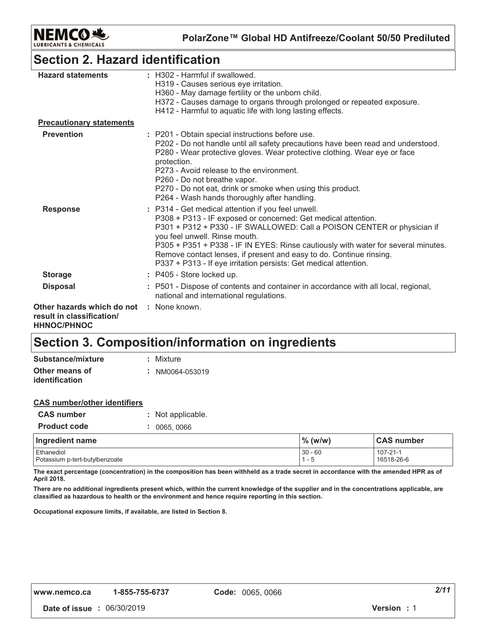

### **Section 2. Hazard identification**

| <b>Hazard statements</b>                                                      | : H302 - Harmful if swallowed.<br>H319 - Causes serious eye irritation.<br>H360 - May damage fertility or the unborn child.<br>H372 - Causes damage to organs through prolonged or repeated exposure.<br>H412 - Harmful to aquatic life with long lasting effects.                                                                                                                                                                                              |
|-------------------------------------------------------------------------------|-----------------------------------------------------------------------------------------------------------------------------------------------------------------------------------------------------------------------------------------------------------------------------------------------------------------------------------------------------------------------------------------------------------------------------------------------------------------|
| <b>Precautionary statements</b>                                               |                                                                                                                                                                                                                                                                                                                                                                                                                                                                 |
| <b>Prevention</b>                                                             | : P201 - Obtain special instructions before use.<br>P202 - Do not handle until all safety precautions have been read and understood.<br>P280 - Wear protective gloves. Wear protective clothing. Wear eye or face<br>protection.<br>P273 - Avoid release to the environment.<br>P260 - Do not breathe vapor.<br>P270 - Do not eat, drink or smoke when using this product.<br>P264 - Wash hands thoroughly after handling.                                      |
| <b>Response</b>                                                               | : P314 - Get medical attention if you feel unwell.<br>P308 + P313 - IF exposed or concerned: Get medical attention.<br>P301 + P312 + P330 - IF SWALLOWED: Call a POISON CENTER or physician if<br>you feel unwell. Rinse mouth.<br>P305 + P351 + P338 - IF IN EYES: Rinse cautiously with water for several minutes.<br>Remove contact lenses, if present and easy to do. Continue rinsing.<br>P337 + P313 - If eye irritation persists: Get medical attention. |
| <b>Storage</b>                                                                | : P405 - Store locked up.                                                                                                                                                                                                                                                                                                                                                                                                                                       |
| <b>Disposal</b>                                                               | : P501 - Dispose of contents and container in accordance with all local, regional,<br>national and international regulations.                                                                                                                                                                                                                                                                                                                                   |
| Other hazards which do not<br>result in classification/<br><b>HHNOC/PHNOC</b> | : None known.                                                                                                                                                                                                                                                                                                                                                                                                                                                   |

### **Section 3. Composition/information on ingredients**

| Substance/mixture                       | : Mixture       |
|-----------------------------------------|-----------------|
| Other means of<br><i>identification</i> | : NM0064-053019 |

| <b>CAS number/other identifiers</b> |  |                   |
|-------------------------------------|--|-------------------|
| <b>CAS number</b>                   |  | : Not applicable. |
| <b>Product code</b>                 |  | : 0065,0066       |
| ممومو مومناه معوموا                 |  |                   |

| Ingredient name                | $\%$ (w/w) | <b>CAS number</b> |
|--------------------------------|------------|-------------------|
| Ethanediol                     | $30 - 60$  | 107-21-1          |
| Potassium p-tert-butylbenzoate | - 5        | 16518-26-6        |

The exact percentage (concentration) in the composition has been withheld as a trade secret in accordance with the amended HPR as of April 2018.

There are no additional ingredients present which, within the current knowledge of the supplier and in the concentrations applicable, are classified as hazardous to health or the environment and hence require reporting in this section.

Occupational exposure limits, if available, are listed in Section 8.

 **#** 01"/0"\$0'2 **5 #** '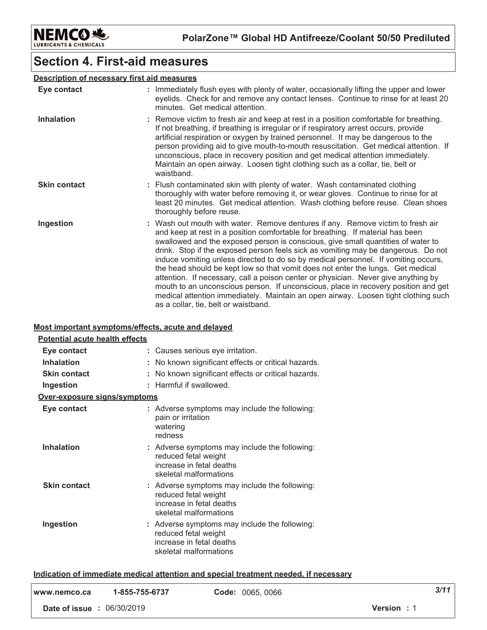

### **Section 4. First-aid measures**

#### Description of necessary first aid measures

| Eye contact         | : Immediately flush eyes with plenty of water, occasionally lifting the upper and lower<br>eyelids. Check for and remove any contact lenses. Continue to rinse for at least 20<br>minutes. Get medical attention.                                                                                                                                                                                                                                                                                                                                                                                                                                                                                                                                                                                                             |  |
|---------------------|-------------------------------------------------------------------------------------------------------------------------------------------------------------------------------------------------------------------------------------------------------------------------------------------------------------------------------------------------------------------------------------------------------------------------------------------------------------------------------------------------------------------------------------------------------------------------------------------------------------------------------------------------------------------------------------------------------------------------------------------------------------------------------------------------------------------------------|--|
| <b>Inhalation</b>   | : Remove victim to fresh air and keep at rest in a position comfortable for breathing.<br>If not breathing, if breathing is irregular or if respiratory arrest occurs, provide<br>artificial respiration or oxygen by trained personnel. It may be dangerous to the<br>person providing aid to give mouth-to-mouth resuscitation. Get medical attention. If<br>unconscious, place in recovery position and get medical attention immediately.<br>Maintain an open airway. Loosen tight clothing such as a collar, tie, belt or<br>waistband.                                                                                                                                                                                                                                                                                  |  |
| <b>Skin contact</b> | : Flush contaminated skin with plenty of water. Wash contaminated clothing<br>thoroughly with water before removing it, or wear gloves. Continue to rinse for at<br>least 20 minutes. Get medical attention. Wash clothing before reuse. Clean shoes<br>thoroughly before reuse.                                                                                                                                                                                                                                                                                                                                                                                                                                                                                                                                              |  |
| Ingestion           | : Wash out mouth with water. Remove dentures if any. Remove victim to fresh air<br>and keep at rest in a position comfortable for breathing. If material has been<br>swallowed and the exposed person is conscious, give small quantities of water to<br>drink. Stop if the exposed person feels sick as vomiting may be dangerous. Do not<br>induce vomiting unless directed to do so by medical personnel. If vomiting occurs,<br>the head should be kept low so that vomit does not enter the lungs. Get medical<br>attention. If necessary, call a poison center or physician. Never give anything by<br>mouth to an unconscious person. If unconscious, place in recovery position and get<br>medical attention immediately. Maintain an open airway. Loosen tight clothing such<br>as a collar, tie, belt or waistband. |  |

#### Most important symptoms/effects, acute and delayed

| Potential acute health effects |                                                                                                                             |
|--------------------------------|-----------------------------------------------------------------------------------------------------------------------------|
| Eye contact                    | : Causes serious eye irritation.                                                                                            |
| <b>Inhalation</b>              | No known significant effects or critical hazards.                                                                           |
| <b>Skin contact</b>            | No known significant effects or critical hazards.                                                                           |
| Ingestion                      | : Harmful if swallowed.                                                                                                     |
| Over-exposure signs/symptoms   |                                                                                                                             |
| Eye contact                    | : Adverse symptoms may include the following:<br>pain or irritation<br>watering<br>redness                                  |
| <b>Inhalation</b>              | : Adverse symptoms may include the following:<br>reduced fetal weight<br>increase in fetal deaths<br>skeletal malformations |
| <b>Skin contact</b>            | : Adverse symptoms may include the following:<br>reduced fetal weight<br>increase in fetal deaths<br>skeletal malformations |
| Ingestion                      | : Adverse symptoms may include the following:<br>reduced fetal weight<br>increase in fetal deaths<br>skeletal malformations |

#### Indication of immediate medical attention and special treatment needed, if necessary

| l www.nemco.ca                    | 1-855-755-6737 | <b>Code: 0065, 0066</b> | 3/11       |
|-----------------------------------|----------------|-------------------------|------------|
| <b>Date of issue : 06/30/2019</b> |                |                         | Version: 1 |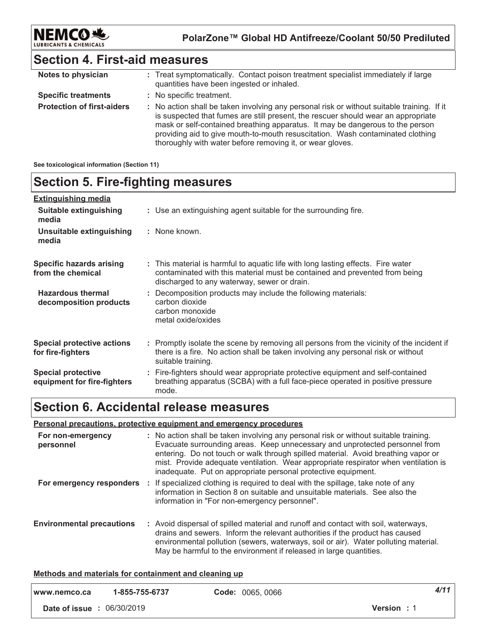

### **Section 4. First-aid measures**

| Notes to physician                | : Treat symptomatically. Contact poison treatment specialist immediately if large<br>quantities have been ingested or inhaled.                                                                                                                                                                                                                                                                                  |
|-----------------------------------|-----------------------------------------------------------------------------------------------------------------------------------------------------------------------------------------------------------------------------------------------------------------------------------------------------------------------------------------------------------------------------------------------------------------|
| <b>Specific treatments</b>        | : No specific treatment.                                                                                                                                                                                                                                                                                                                                                                                        |
| <b>Protection of first-aiders</b> | : No action shall be taken involving any personal risk or without suitable training. If it<br>is suspected that fumes are still present, the rescuer should wear an appropriate<br>mask or self-contained breathing apparatus. It may be dangerous to the person<br>providing aid to give mouth-to-mouth resuscitation. Wash contaminated clothing<br>thoroughly with water before removing it, or wear gloves. |

#### **See toxicological information (Section 11)**

### **Section 5. Fire-fighting measures**

| <b>Extinguishing media</b>                               |                                                                                                                                                                                                               |
|----------------------------------------------------------|---------------------------------------------------------------------------------------------------------------------------------------------------------------------------------------------------------------|
| Suitable extinguishing<br>media                          | : Use an extinguishing agent suitable for the surrounding fire.                                                                                                                                               |
| Unsuitable extinguishing<br>media                        | : None known.                                                                                                                                                                                                 |
| <b>Specific hazards arising</b><br>from the chemical     | : This material is harmful to aquatic life with long lasting effects. Fire water<br>contaminated with this material must be contained and prevented from being<br>discharged to any waterway, sewer or drain. |
| <b>Hazardous thermal</b><br>decomposition products       | : Decomposition products may include the following materials:<br>carbon dioxide<br>carbon monoxide<br>metal oxide/oxides                                                                                      |
| <b>Special protective actions</b><br>for fire-fighters   | : Promptly isolate the scene by removing all persons from the vicinity of the incident if<br>there is a fire. No action shall be taken involving any personal risk or without<br>suitable training.           |
| <b>Special protective</b><br>equipment for fire-fighters | : Fire-fighters should wear appropriate protective equipment and self-contained<br>breathing apparatus (SCBA) with a full face-piece operated in positive pressure<br>mode.                                   |

### **Section 6. Accidental release measures**

#### **<u>Personal precautions, protective equipment and emergency procedures</u>**

| For non-emergency<br>personnel   | : No action shall be taken involving any personal risk or without suitable training.<br>Evacuate surrounding areas. Keep unnecessary and unprotected personnel from<br>entering. Do not touch or walk through spilled material. Avoid breathing vapor or<br>mist. Provide adequate ventilation. Wear appropriate respirator when ventilation is<br>inadequate. Put on appropriate personal protective equipment. |
|----------------------------------|------------------------------------------------------------------------------------------------------------------------------------------------------------------------------------------------------------------------------------------------------------------------------------------------------------------------------------------------------------------------------------------------------------------|
| For emergency responders         | : If specialized clothing is required to deal with the spillage, take note of any<br>information in Section 8 on suitable and unsuitable materials. See also the<br>information in "For non-emergency personnel".                                                                                                                                                                                                |
| <b>Environmental precautions</b> | : Avoid dispersal of spilled material and runoff and contact with soil, waterways,<br>drains and sewers. Inform the relevant authorities if the product has caused<br>environmental pollution (sewers, waterways, soil or air). Water polluting material.<br>May be harmful to the environment if released in large quantities.                                                                                  |

#### <u>**Methods and materials for containment and cleaning up**</u>

| www.nemco.ca                      | 1-855-755-6737 | Code: 0065, 0066 | 4/11               |
|-----------------------------------|----------------|------------------|--------------------|
| <b>Date of issue : 06/30/2019</b> |                |                  | <b>Version</b> : 1 |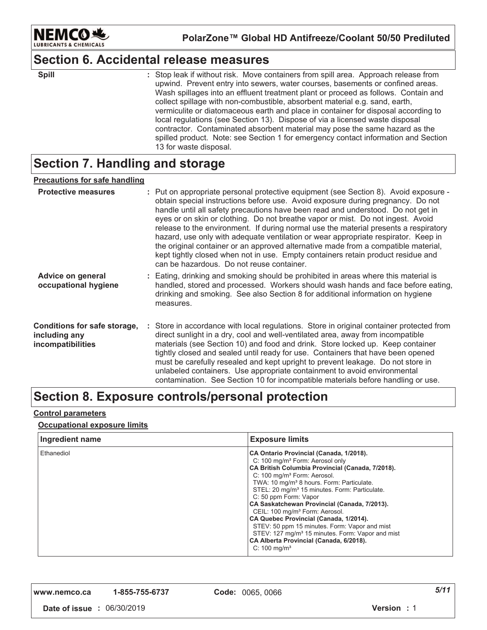

### **Section 6. Accidental release measures**

| ×<br>۰.<br>., | ۰. |
|---------------|----|

: Stop leak if without risk. Move containers from spill area. Approach release from upwind. Prevent entry into sewers, water courses, basements or confined areas. Wash spillages into an effluent treatment plant or proceed as follows. Contain and collect spillage with non-combustible, absorbent material e.g. sand, earth, vermiculite or diatomaceous earth and place in container for disposal according to local regulations (see Section 13). Dispose of via a licensed waste disposal contractor. Contaminated absorbent material may pose the same hazard as the spilled product. Note: see Section 1 for emergency contact information and Section 13 for waste disposal. **\$pill**  $\qquad \qquad$  :

### **Section 7. Handling and storage**

#### <u>Precautions for safe handling</u>

| <b>Protective measures</b>                                         | : Put on appropriate personal protective equipment (see Section 8). Avoid exposure -<br>obtain special instructions before use. Avoid exposure during pregnancy. Do not<br>handle until all safety precautions have been read and understood. Do not get in<br>eyes or on skin or clothing. Do not breathe vapor or mist. Do not ingest. Avoid<br>release to the environment. If during normal use the material presents a respiratory<br>hazard, use only with adequate ventilation or wear appropriate respirator. Keep in<br>the original container or an approved alternative made from a compatible material,<br>kept tightly closed when not in use. Empty containers retain product residue and<br>can be hazardous. Do not reuse container. |
|--------------------------------------------------------------------|-----------------------------------------------------------------------------------------------------------------------------------------------------------------------------------------------------------------------------------------------------------------------------------------------------------------------------------------------------------------------------------------------------------------------------------------------------------------------------------------------------------------------------------------------------------------------------------------------------------------------------------------------------------------------------------------------------------------------------------------------------|
| Advice on general<br>occupational hygiene                          | : Eating, drinking and smoking should be prohibited in areas where this material is<br>handled, stored and processed. Workers should wash hands and face before eating,<br>drinking and smoking. See also Section 8 for additional information on hygiene<br>measures.                                                                                                                                                                                                                                                                                                                                                                                                                                                                              |
| Conditions for safe storage,<br>including any<br>incompatibilities | : Store in accordance with local regulations. Store in original container protected from<br>direct sunlight in a dry, cool and well-ventilated area, away from incompatible<br>materials (see Section 10) and food and drink. Store locked up. Keep container<br>tightly closed and sealed until ready for use. Containers that have been opened<br>must be carefully resealed and kept upright to prevent leakage. Do not store in<br>unlabeled containers. Use appropriate containment to avoid environmental<br>contamination. See Section 10 for incompatible materials before handling or use.                                                                                                                                                 |

### Section 8. Exposure controls/personal protection

#### <u>Control parameters</u>

#### <u>**<u>Occupational exposure limits</u>**</u>

| Ingredient name | <b>Exposure limits</b>                                                                                                                                                                                                                                                                                                                                                                                                                                                                                                                                                                                                                                              |
|-----------------|---------------------------------------------------------------------------------------------------------------------------------------------------------------------------------------------------------------------------------------------------------------------------------------------------------------------------------------------------------------------------------------------------------------------------------------------------------------------------------------------------------------------------------------------------------------------------------------------------------------------------------------------------------------------|
| Ethanediol      | CA Ontario Provincial (Canada, 1/2018).<br>C: 100 mg/m <sup>3</sup> Form: Aerosol only<br>CA British Columbia Provincial (Canada, 7/2018).<br>C: 100 mg/m <sup>3</sup> Form: Aerosol.<br>TWA: 10 mg/m <sup>3</sup> 8 hours. Form: Particulate.<br>STEL: 20 mg/m <sup>3</sup> 15 minutes. Form: Particulate.<br>C: 50 ppm Form: Vapor<br>CA Saskatchewan Provincial (Canada, 7/2013).<br>CEIL: 100 mg/m <sup>3</sup> Form: Aerosol.<br>CA Quebec Provincial (Canada, 1/2014).<br>STEV: 50 ppm 15 minutes. Form: Vapor and mist<br>STEV: 127 mg/m <sup>3</sup> 15 minutes. Form: Vapor and mist<br>CA Alberta Provincial (Canada, 6/2018).<br>C: $100 \text{ mg/m}^3$ |

**,,," "123242 -**

*-*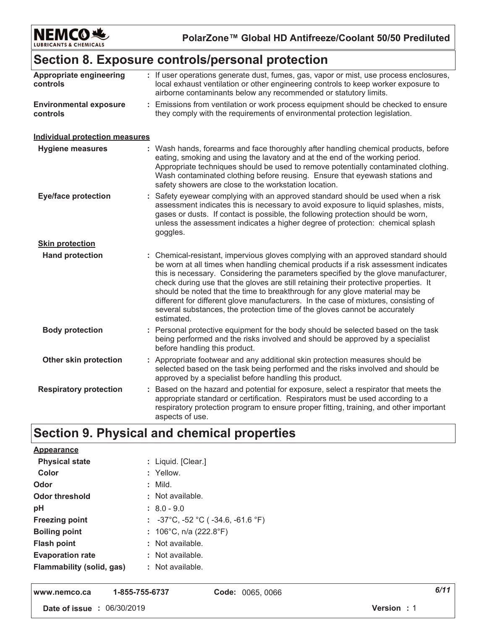

### Section 8. Exposure controls/personal protection

| Appropriate engineering<br>controls       | : If user operations generate dust, fumes, gas, vapor or mist, use process enclosures,<br>local exhaust ventilation or other engineering controls to keep worker exposure to<br>airborne contaminants below any recommended or statutory limits.                                                                                                                                                                                                                                                                                                                                                                          |  |  |
|-------------------------------------------|---------------------------------------------------------------------------------------------------------------------------------------------------------------------------------------------------------------------------------------------------------------------------------------------------------------------------------------------------------------------------------------------------------------------------------------------------------------------------------------------------------------------------------------------------------------------------------------------------------------------------|--|--|
| <b>Environmental exposure</b><br>controls | : Emissions from ventilation or work process equipment should be checked to ensure<br>they comply with the requirements of environmental protection legislation.                                                                                                                                                                                                                                                                                                                                                                                                                                                          |  |  |
| <b>Individual protection measures</b>     |                                                                                                                                                                                                                                                                                                                                                                                                                                                                                                                                                                                                                           |  |  |
| <b>Hygiene measures</b>                   | : Wash hands, forearms and face thoroughly after handling chemical products, before<br>eating, smoking and using the lavatory and at the end of the working period.<br>Appropriate techniques should be used to remove potentially contaminated clothing.<br>Wash contaminated clothing before reusing. Ensure that eyewash stations and<br>safety showers are close to the workstation location.                                                                                                                                                                                                                         |  |  |
| <b>Eye/face protection</b>                | : Safety eyewear complying with an approved standard should be used when a risk<br>assessment indicates this is necessary to avoid exposure to liquid splashes, mists,<br>gases or dusts. If contact is possible, the following protection should be worn,<br>unless the assessment indicates a higher degree of protection: chemical splash<br>goggles.                                                                                                                                                                                                                                                                  |  |  |
| <b>Skin protection</b>                    |                                                                                                                                                                                                                                                                                                                                                                                                                                                                                                                                                                                                                           |  |  |
| <b>Hand protection</b>                    | : Chemical-resistant, impervious gloves complying with an approved standard should<br>be worn at all times when handling chemical products if a risk assessment indicates<br>this is necessary. Considering the parameters specified by the glove manufacturer,<br>check during use that the gloves are still retaining their protective properties. It<br>should be noted that the time to breakthrough for any glove material may be<br>different for different glove manufacturers. In the case of mixtures, consisting of<br>several substances, the protection time of the gloves cannot be accurately<br>estimated. |  |  |
| <b>Body protection</b>                    | : Personal protective equipment for the body should be selected based on the task<br>being performed and the risks involved and should be approved by a specialist<br>before handling this product.                                                                                                                                                                                                                                                                                                                                                                                                                       |  |  |
| Other skin protection                     | : Appropriate footwear and any additional skin protection measures should be<br>selected based on the task being performed and the risks involved and should be<br>approved by a specialist before handling this product.                                                                                                                                                                                                                                                                                                                                                                                                 |  |  |
| <b>Respiratory protection</b>             | : Based on the hazard and potential for exposure, select a respirator that meets the<br>appropriate standard or certification. Respirators must be used according to a<br>respiratory protection program to ensure proper fitting, training, and other important<br>aspects of use.                                                                                                                                                                                                                                                                                                                                       |  |  |

## Section 9. Physical and chemical properties

| Appearance                |                                                                   |
|---------------------------|-------------------------------------------------------------------|
| <b>Physical state</b>     | : Liquid. [Clear.]                                                |
| Color                     | : Yellow.                                                         |
| Odor                      | $:$ Mild.                                                         |
| <b>Odor threshold</b>     | : Not available.                                                  |
| pH                        | $: 8.0 - 9.0$                                                     |
| <b>Freezing point</b>     | : $-37^{\circ}$ C, $-52^{\circ}$ C ( $-34.6$ , $-61.6^{\circ}$ F) |
| <b>Boiling point</b>      | : $106^{\circ}$ C, n/a (222.8 $^{\circ}$ F)                       |
| <b>Flash point</b>        | : Not available.                                                  |
| <b>Evaporation rate</b>   | $:$ Not available.                                                |
| Flammability (solid, gas) | $:$ Not available.                                                |

1-855-755-6737 www.nemco.ca

Code: 0065, 0066

Date of issue : 06/30/2019

 $6/11$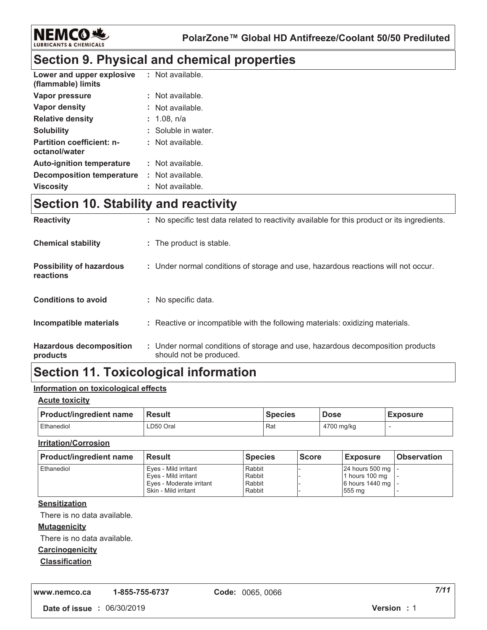

### **Section 9. Physical and chemical properties**

| Lower and upper explosive<br>(flammable) limits   | : Not available.    |
|---------------------------------------------------|---------------------|
| Vapor pressure                                    | : Not available.    |
| Vapor density                                     | : Not available.    |
| <b>Relative density</b>                           | : 1.08, n/a         |
| <b>Solubility</b>                                 | : Soluble in water. |
| <b>Partition coefficient: n-</b><br>octanol/water | : Not available.    |
| <b>Auto-ignition temperature</b>                  | : Not available.    |
| Decomposition temperature                         | : Not available.    |
| <b>Viscosity</b>                                  | : Not available.    |

### **Section 10. Stability and reactivity**

| <b>Reactivity</b>                            | : No specific test data related to reactivity available for this product or its ingredients.              |
|----------------------------------------------|-----------------------------------------------------------------------------------------------------------|
| <b>Chemical stability</b>                    | : The product is stable.                                                                                  |
| <b>Possibility of hazardous</b><br>reactions | : Under normal conditions of storage and use, hazardous reactions will not occur.                         |
| <b>Conditions to avoid</b>                   | : No specific data.                                                                                       |
| Incompatible materials                       | : Reactive or incompatible with the following materials: oxidizing materials.                             |
| <b>Hazardous decomposition</b><br>products   | : Under normal conditions of storage and use, hazardous decomposition products<br>should not be produced. |

### **Section 11. Toxicological information**

#### <u>Information on toxicological effects</u>

#### <u>Acute toxicity</u>

| <b>Product/ingredient name</b> | <b>Result</b> | <b>Species</b> | <b>Dose</b> | <b>Exposure</b> |
|--------------------------------|---------------|----------------|-------------|-----------------|
| Ethanediol                     | LD50 Oral     | Rat            | 4700 mg/kg  |                 |

#### <u>**Irritation/Corrosion</u>**</u>

| <b>Product/ingredient name</b> | <b>Result</b>            | <b>Species</b> | <b>Score</b> | <b>Exposure</b>     | <b>Observation</b> |
|--------------------------------|--------------------------|----------------|--------------|---------------------|--------------------|
| Ethanediol                     | Eves - Mild irritant     | Rabbit         |              | 24 hours 500 mg   - |                    |
|                                | Eves - Mild irritant     | Rabbit         |              | 1 hours 100 mg      |                    |
|                                | Eves - Moderate irritant | Rabbit         |              | 6 hours 1440 mg   - |                    |
|                                | Skin - Mild irritant     | Rabbit         |              | 555 mg              |                    |

#### <u>Sensitization</u>

There is no data available.

#### <u>**Mutagenicity</u>**</u>

There is no data available.

#### **Carcinogenicity**

#### <u>Classification</u>

**,,," "123242 -**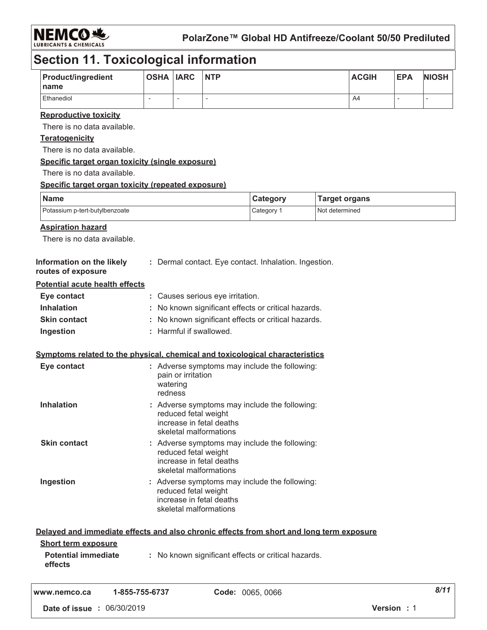

### **Section 11. Toxicological information**

| <b>Product/ingredient</b><br>Iname | OSHA  IARC |   | <b>NTP</b> | <b>ACGIH</b> | <b>EPA</b> | <b>NIOSH</b> |
|------------------------------------|------------|---|------------|--------------|------------|--------------|
| <b>Ethanediol</b>                  |            | - |            | A4           |            |              |

#### <u>**Reproductive toxicity</u>**</u>

There is no data available.

#### <u>Teratogenicity</u>

There is no data available.

#### <u>**<u>Specific target organ toxicity (single exposure)</u>**</u>

There is no data available.

#### <u>**<u>Specific target organ toxicity (repeated exposure)</u>**</u>

| Name                           | <b>Category</b> | <b>Target organs</b> |
|--------------------------------|-----------------|----------------------|
| Potassium p-tert-butylbenzoate | Category        | Not determined       |

#### <u>Aspiration hazard</u>

There is no data available.

| Information on the likely<br>routes of exposure | : Dermal contact. Eye contact. Inhalation. Ingestion. |
|-------------------------------------------------|-------------------------------------------------------|
| <b>Potential acute health effects</b>           |                                                       |
| Eye contact                                     | : Causes serious eye irritation.                      |
| <b>Inhalation</b>                               | : No known significant effects or critical hazards.   |
| <b>Skin contact</b>                             | : No known significant effects or critical hazards.   |
| Ingestion                                       | : Harmful if swallowed.                               |

#### <u>**<u>Symptoms related to the physical, chemical and toxicological characteristics</u>**</u>

| Eye contact         | : Adverse symptoms may include the following:<br>pain or irritation<br>watering<br>redness                                  |
|---------------------|-----------------------------------------------------------------------------------------------------------------------------|
| <b>Inhalation</b>   | : Adverse symptoms may include the following:<br>reduced fetal weight<br>increase in fetal deaths<br>skeletal malformations |
| <b>Skin contact</b> | : Adverse symptoms may include the following:<br>reduced fetal weight<br>increase in fetal deaths<br>skeletal malformations |
| Ingestion           | : Adverse symptoms may include the following:<br>reduced fetal weight<br>increase in fetal deaths<br>skeletal malformations |

|                                       | Delayed and immediate effects and also chronic effects from short and long term exposure |
|---------------------------------------|------------------------------------------------------------------------------------------|
| <b>Short term exposure</b>            |                                                                                          |
| <b>Potential immediate</b><br>effects | : No known significant effects or critical hazards.                                      |
|                                       | Carley OOCE OOCC<br>4 OFF 7FF 6797                                                       |

*--*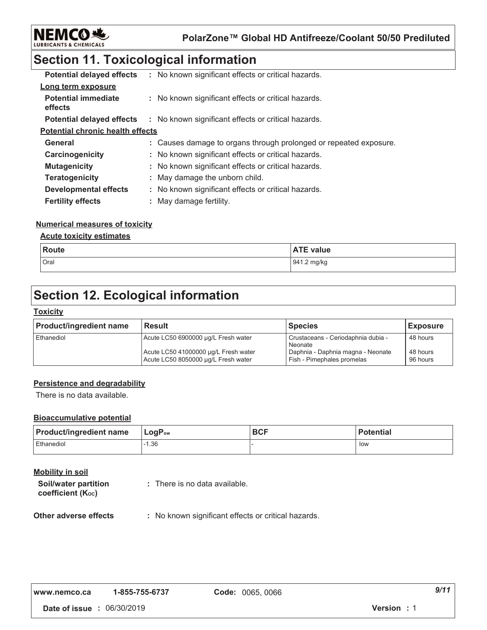

### **Section 11. Toxicological information**

| <b>Potential delayed effects</b>        | : No known significant effects or critical hazards.               |
|-----------------------------------------|-------------------------------------------------------------------|
| Long term exposure                      |                                                                   |
| <b>Potential immediate</b><br>effects   | : No known significant effects or critical hazards.               |
| <b>Potential delayed effects</b>        | : No known significant effects or critical hazards.               |
| <b>Potential chronic health effects</b> |                                                                   |
| General                                 | : Causes damage to organs through prolonged or repeated exposure. |
| Carcinogenicity                         | : No known significant effects or critical hazards.               |
| <b>Mutagenicity</b>                     | : No known significant effects or critical hazards.               |
| <b>Teratogenicity</b>                   | : May damage the unborn child.                                    |
| <b>Developmental effects</b>            | : No known significant effects or critical hazards.               |
| <b>Fertility effects</b>                | : May damage fertility.                                           |

#### <u>Numerical measures of toxicity</u>

#### <u>**<u>Acute toxicity estimates</u>**</u>

| <b>Route</b> | <b>ATE value</b> |
|--------------|------------------|
| Oral         | 941.2 mg/kg      |

### **Section 12. Ecological information**

#### <u> Toxicity</u>

| <b>Product/ingredient name</b> | <b>Result</b>                                                               | <b>Species</b>                                                  | <b>Exposure</b>      |
|--------------------------------|-----------------------------------------------------------------------------|-----------------------------------------------------------------|----------------------|
| Ethanediol                     | Acute LC50 6900000 µg/L Fresh water                                         | Crustaceans - Ceriodaphnia dubia -<br>Neonate                   | 48 hours             |
|                                | Acute LC50 41000000 µg/L Fresh water<br>Acute LC50 8050000 µg/L Fresh water | Daphnia - Daphnia magna - Neonate<br>Fish - Pimephales promelas | 48 hours<br>96 hours |

#### **Persistence and degradability**

There is no data available.

#### **Bioaccumulative potential**

| <b>Product/ingredient name</b> | $ $ LogP <sub>ow</sub> | <b>BCF</b> | <b>Potential</b> |
|--------------------------------|------------------------|------------|------------------|
| Ethanediol                     | $-1.36$                |            | low              |

### <u>Mobility in soil</u>

| Soil/water partition   | : There is no data available. |
|------------------------|-------------------------------|
| coefficient $(K_{oc})$ |                               |

#### **Other adverse effect**  $\colon$  No known significant effects or critical hazards.

| www.nemco.ca | 1-855-755-6737 | C |
|--------------|----------------|---|
|              |                |   |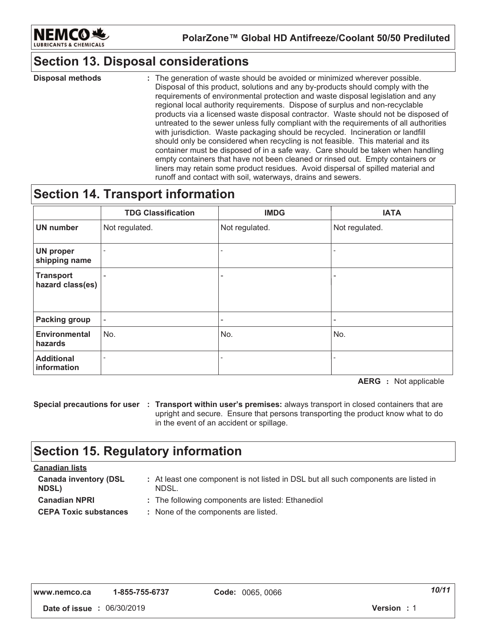

### **Section 13. Disposal considerations**

: The generation of waste should be avoided or minimized wherever possible. Disposal of this product, solutions and any by-products should comply with the requirements of environmental protection and waste disposal legislation and any regional local authority requirements. Dispose of surplus and non-recyclable products via a licensed waste disposal contractor. Waste should not be disposed of untreated to the sewer unless fully compliant with the requirements of all authorities with jurisdiction. Waste packaging should be recycled. Incineration or landfill should only be considered when recycling is not feasible. This material and its container must be disposed of in a safe way. Care should be taken when handling empty containers that have not been cleaned or rinsed out. Empty containers or liners may retain some product residues. Avoid dispersal of spilled material and runoff and contact with soil, waterways, drains and sewers. **Disposal methods :**  $\qquad \qquad :$ 

### **Section 14. Transport information**

|                                      | <b>TDG Classification</b> | <b>IMDG</b>    | <b>IATA</b>    |
|--------------------------------------|---------------------------|----------------|----------------|
| <b>UN number</b>                     | Not regulated.            | Not regulated. | Not regulated. |
| <b>UN proper</b><br>shipping name    |                           | $\blacksquare$ |                |
| <b>Transport</b><br>hazard class(es) |                           | ۰              |                |
| <b>Packing group</b>                 | $\sim$                    | $\blacksquare$ |                |
| <b>Environmental</b><br>hazards      | No.                       | No.            | No.            |
| <b>Additional</b><br>information     |                           | $\blacksquare$ |                |

**AERG** : Not applicable

**Special precautions for user : Transport within user's premises: always transport in closed containers that are** upright and secure. Ensure that persons transporting the product know what to do in the event of an accident or spillage.

### **Section 15. Regulatory information**

| <u>Canadian lists</u>                        |                                                                                              |
|----------------------------------------------|----------------------------------------------------------------------------------------------|
| <b>Canada inventory (DSL</b><br><b>NDSL)</b> | : At least one component is not listed in DSL but all such components are listed in<br>NDSL. |
| <b>Canadian NPRI</b>                         | : The following components are listed: Ethanediol                                            |
| <b>CEPA Toxic substances</b>                 | : None of the components are listed.                                                         |